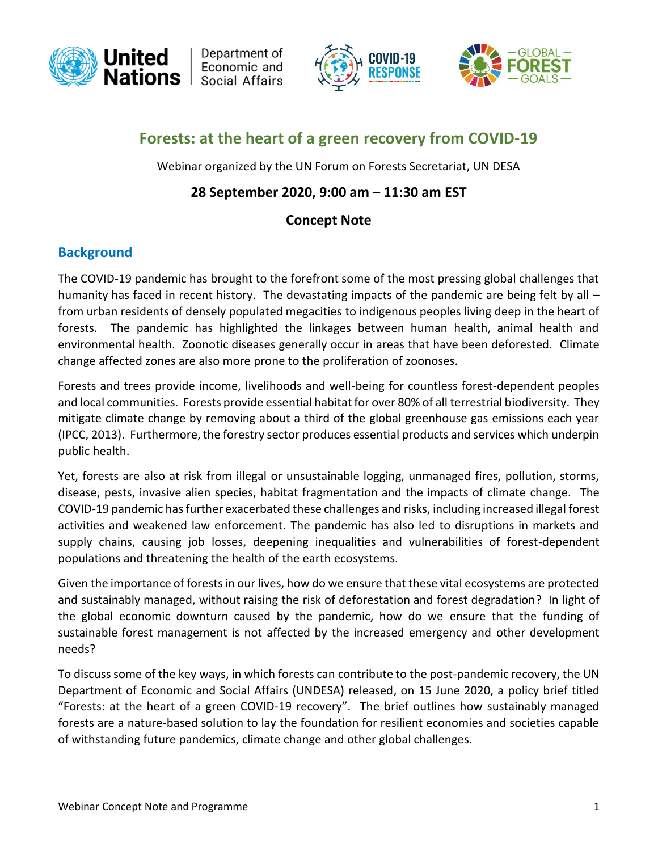

Department of Economic and Social Affairs





# **Forests: at the heart of a green recovery from COVID-19**

Webinar organized by the UN Forum on Forests Secretariat, UN DESA

## **28 September 2020, 9:00 am – 11:30 am EST**

### **Concept Note**

## **Background**

The COVID-19 pandemic has brought to the forefront some of the most pressing global challenges that humanity has faced in recent history. The devastating impacts of the pandemic are being felt by all from urban residents of densely populated megacities to indigenous peoples living deep in the heart of forests. The pandemic has highlighted the linkages between human health, animal health and environmental health. Zoonotic diseases generally occur in areas that have been deforested. Climate change affected zones are also more prone to the proliferation of zoonoses.

Forests and trees provide income, livelihoods and well-being for countless forest-dependent peoples and local communities. Forests provide essential habitat for over 80% of all terrestrial biodiversity. They mitigate climate change by removing about a third of the global greenhouse gas emissions each year (IPCC, 2013). Furthermore, the forestry sector produces essential products and services which underpin public health.

Yet, forests are also at risk from illegal or unsustainable logging, unmanaged fires, pollution, storms, disease, pests, invasive alien species, habitat fragmentation and the impacts of climate change. The COVID-19 pandemic has further exacerbated these challenges and risks, including increased illegal forest activities and weakened law enforcement. The pandemic has also led to disruptions in markets and supply chains, causing job losses, deepening inequalities and vulnerabilities of forest-dependent populations and threatening the health of the earth ecosystems.

Given the importance of forests in our lives, how do we ensure that these vital ecosystems are protected and sustainably managed, without raising the risk of deforestation and forest degradation? In light of the global economic downturn caused by the pandemic, how do we ensure that the funding of sustainable forest management is not affected by the increased emergency and other development needs?

To discuss some of the key ways, in which forests can contribute to the post-pandemic recovery, the UN Department of Economic and Social Affairs (UNDESA) released, on 15 June 2020, a policy brief titled "Forests: at the heart of a green COVID-19 recovery". The brief outlines how sustainably managed forests are a nature-based solution to lay the foundation for resilient economies and societies capable of withstanding future pandemics, climate change and other global challenges.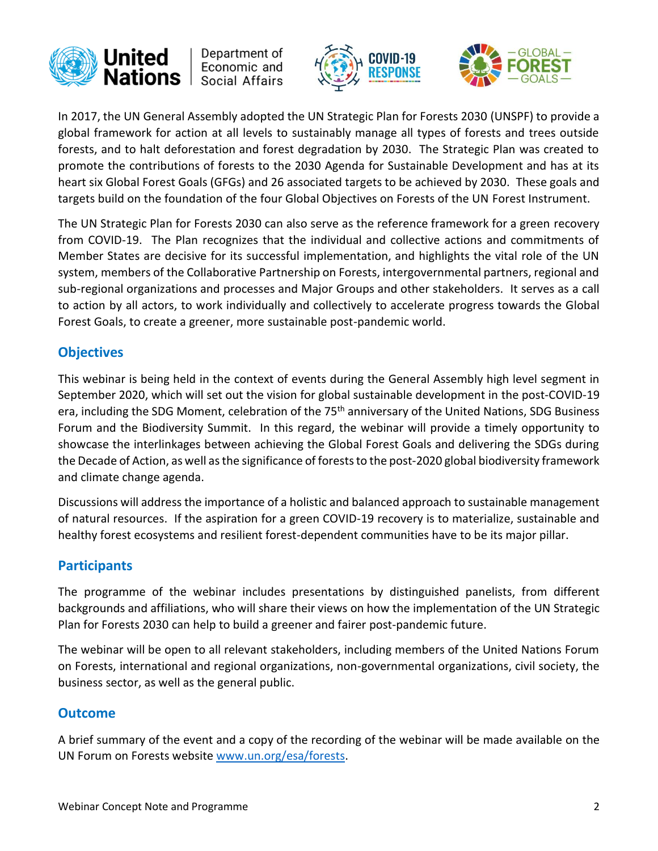

Department of Economic and Social Affairs





In 2017, the UN General Assembly adopted the UN Strategic Plan for Forests 2030 (UNSPF) to provide a global framework for action at all levels to sustainably manage all types of forests and trees outside forests, and to halt deforestation and forest degradation by 2030. The Strategic Plan was created to promote the contributions of forests to the 2030 Agenda for Sustainable Development and has at its heart six Global Forest Goals (GFGs) and 26 associated targets to be achieved by 2030. These goals and targets build on the foundation of the four Global Objectives on Forests of the UN Forest Instrument.

The UN Strategic Plan for Forests 2030 can also serve as the reference framework for a green recovery from COVID-19. The Plan recognizes that the individual and collective actions and commitments of Member States are decisive for its successful implementation, and highlights the vital role of the UN system, members of the Collaborative Partnership on Forests, intergovernmental partners, regional and sub-regional organizations and processes and Major Groups and other stakeholders. It serves as a call to action by all actors, to work individually and collectively to accelerate progress towards the Global Forest Goals, to create a greener, more sustainable post-pandemic world.

## **Objectives**

This webinar is being held in the context of events during the General Assembly high level segment in September 2020, which will set out the vision for global sustainable development in the post-COVID-19 era, including the SDG Moment, celebration of the 75<sup>th</sup> anniversary of the United Nations, SDG Business Forum and the Biodiversity Summit. In this regard, the webinar will provide a timely opportunity to showcase the interlinkages between achieving the Global Forest Goals and delivering the SDGs during the Decade of Action, as well as the significance of forests to the post-2020 global biodiversity framework and climate change agenda.

Discussions will address the importance of a holistic and balanced approach to sustainable management of natural resources. If the aspiration for a green COVID-19 recovery is to materialize, sustainable and healthy forest ecosystems and resilient forest-dependent communities have to be its major pillar.

## **Participants**

The programme of the webinar includes presentations by distinguished panelists, from different backgrounds and affiliations, who will share their views on how the implementation of the UN Strategic Plan for Forests 2030 can help to build a greener and fairer post-pandemic future.

The webinar will be open to all relevant stakeholders, including members of the United Nations Forum on Forests, international and regional organizations, non-governmental organizations, civil society, the business sector, as well as the general public.

### **Outcome**

A brief summary of the event and a copy of the recording of the webinar will be made available on the UN Forum on Forests website [www.un.org/esa/forests.](http://www.un.org/esa/forests)